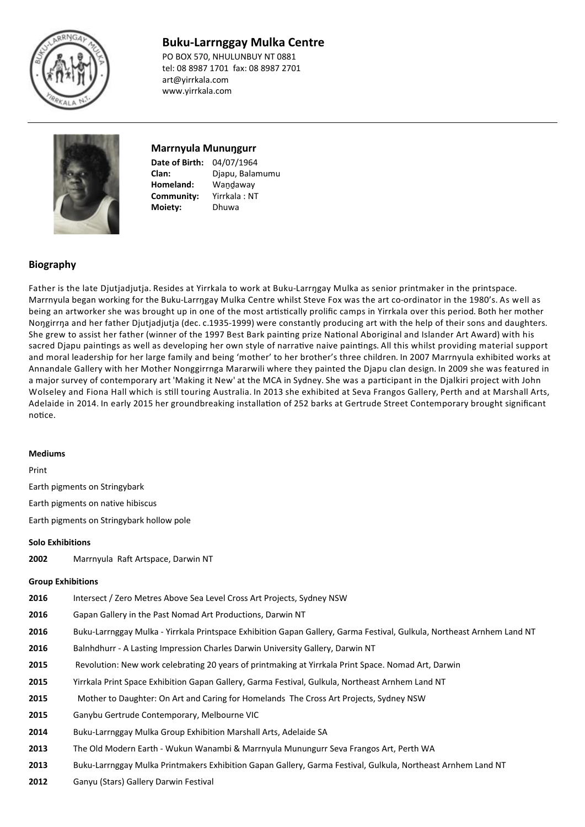

# **Buku-Larrnggay Mulka Centre**

PO BOX 570, NHULUNBUY NT 0881 tel: 08 8987 1701 fax: 08 8987 2701 art@yirrkala.com www.yirrkala.com



# **Marrnyula Munuŋgurr**

**Clan:**

**Date of Birth:** 04/07/1964 **Homeland:** Wandaway **Community:** Yirrkala : NT Djapu, Balamumu **Moiety:** Dhuwa

## **Biography**

Father is the late Djutjadjutja. Resides at Yirrkala to work at Buku-Larrŋgay Mulka as senior printmaker in the printspace. Marrnyula began working for the Buku-Larrngay Mulka Centre whilst Steve Fox was the art co-ordinator in the 1980's. As well as being an artworker she was brought up in one of the most artistically prolific camps in Yirrkala over this period. Both her mother Noŋgirrŋa and her father Djutjadjutja (dec. c.1935-1999) were constantly producing art with the help of their sons and daughters. She grew to assist her father (winner of the 1997 Best Bark painting prize National Aboriginal and Islander Art Award) with his sacred Djapu paintings as well as developing her own style of narrative naive paintings. All this whilst providing material support and moral leadership for her large family and being 'mother' to her brother's three children. In 2007 Marrnyula exhibited works at Annandale Gallery with her Mother Nonggirrnga Mararwili where they painted the Djapu clan design. In 2009 she was featured in a major survey of contemporary art 'Making it New' at the MCA in Sydney. She was a participant in the Djalkiri project with John Wolseley and Fiona Hall which is still touring Australia. In 2013 she exhibited at Seva Frangos Gallery, Perth and at Marshall Arts, Adelaide in 2014. In early 2015 her groundbreaking installation of 252 barks at Gertrude Street Contemporary brought significant notice.

### **Mediums**

Print

Earth pigments on Stringybark

Earth pigments on native hibiscus

Earth pigments on Stringybark hollow pole

### **Solo Exhibitions**

**2002** Marrnyula Raft Artspace, Darwin NT

#### **Group Exhibitions**

- **2016** Intersect / Zero Metres Above Sea Level Cross Art Projects, Sydney NSW
- **2016** Gapan Gallery in the Past Nomad Art Productions, Darwin NT
- **2016** Buku-Larrnggay Mulka Yirrkala Printspace Exhibition Gapan Gallery, Garma Festival, Gulkula, Northeast Arnhem Land NT
- **2016** Balnhdhurr A Lasting Impression Charles Darwin University Gallery, Darwin NT
- **2015** Revolution: New work celebrating 20 years of printmaking at Yirrkala Print Space. Nomad Art, Darwin
- **2015** Yirrkala Print Space Exhibition Gapan Gallery, Garma Festival, Gulkula, Northeast Arnhem Land NT
- **2015** Mother to Daughter: On Art and Caring for Homelands The Cross Art Projects, Sydney NSW
- **2015** Ganybu Gertrude Contemporary, Melbourne VIC
- **2014** Buku-Larrnggay Mulka Group Exhibition Marshall Arts, Adelaide SA
- **2013** The Old Modern Earth Wukun Wanambi & Marrnyula Munungurr Seva Frangos Art, Perth WA
- **2013** Buku-Larrnggay Mulka Printmakers Exhibition Gapan Gallery, Garma Festival, Gulkula, Northeast Arnhem Land NT
- **2012** Ganyu (Stars) Gallery Darwin Festival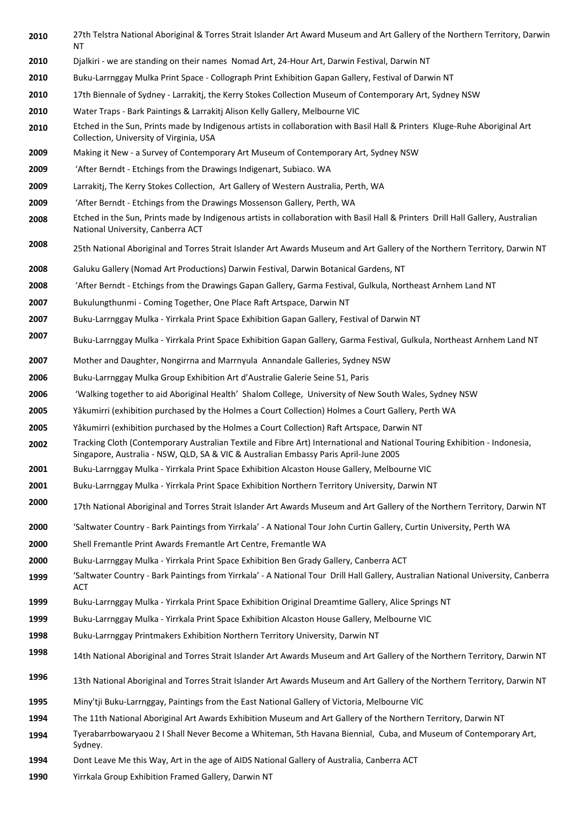- 27th Telstra National Aboriginal & Torres Strait Islander Art Award Museum and Art Gallery of the Northern Territory, Darwin NT
- Djalkiri we are standing on their names Nomad Art, 24-Hour Art, Darwin Festival, Darwin NT
- Buku-Larrnggay Mulka Print Space Collograph Print Exhibition Gapan Gallery, Festival of Darwin NT
- 17th Biennale of Sydney Larrakitj, the Kerry Stokes Collection Museum of Contemporary Art, Sydney NSW
- Water Traps Bark Paintings & Larrakitj Alison Kelly Gallery, Melbourne VIC
- Etched in the Sun, Prints made by Indigenous artists in collaboration with Basil Hall & Printers Kluge-Ruhe Aboriginal Art Collection, University of Virginia, USA
- Making it New a Survey of Contemporary Art Museum of Contemporary Art, Sydney NSW
- 'After Berndt Etchings from the Drawings Indigenart, Subiaco. WA
- Larrakitj, The Kerry Stokes Collection, Art Gallery of Western Australia, Perth, WA
- 'After Berndt Etchings from the Drawings Mossenson Gallery, Perth, WA
- Etched in the Sun, Prints made by Indigenous artists in collaboration with Basil Hall & Printers Drill Hall Gallery, Australian National University, Canberra ACT
- 25th National Aboriginal and Torres Strait Islander Art Awards Museum and Art Gallery of the Northern Territory, Darwin NT
- Galuku Gallery (Nomad Art Productions) Darwin Festival, Darwin Botanical Gardens, NT
- 'After Berndt Etchings from the Drawings Gapan Gallery, Garma Festival, Gulkula, Northeast Arnhem Land NT
- Bukulungthunmi Coming Together, One Place Raft Artspace, Darwin NT
- Buku-Larrnggay Mulka Yirrkala Print Space Exhibition Gapan Gallery, Festival of Darwin NT
- Buku-Larrnggay Mulka Yirrkala Print Space Exhibition Gapan Gallery, Garma Festival, Gulkula, Northeast Arnhem Land NT
- Mother and Daughter, Nongirrna and Marrnyula Annandale Galleries, Sydney NSW
- Buku-Larrnggay Mulka Group Exhibition Art d'Australie Galerie Seine 51, Paris
- 'Walking together to aid Aboriginal Health' Shalom College, University of New South Wales, Sydney NSW
- Yåkumirri (exhibition purchased by the Holmes a Court Collection) Holmes a Court Gallery, Perth WA
- Yåkumirri (exhibition purchased by the Holmes a Court Collection) Raft Artspace, Darwin NT
- Tracking Cloth (Contemporary Australian Textile and Fibre Art) International and National Touring Exhibition Indonesia, Singapore, Australia - NSW, QLD, SA & VIC & Australian Embassy Paris April-June 2005
- Buku-Larrnggay Mulka Yirrkala Print Space Exhibition Alcaston House Gallery, Melbourne VIC
- Buku-Larrnggay Mulka Yirrkala Print Space Exhibition Northern Territory University, Darwin NT
- 17th National Aboriginal and Torres Strait Islander Art Awards Museum and Art Gallery of the Northern Territory, Darwin NT
- 'Saltwater Country Bark Paintings from Yirrkala' A National Tour John Curtin Gallery, Curtin University, Perth WA
- Shell Fremantle Print Awards Fremantle Art Centre, Fremantle WA
- Buku-Larrnggay Mulka Yirrkala Print Space Exhibition Ben Grady Gallery, Canberra ACT
- 'Saltwater Country Bark Paintings from Yirrkala' A National Tour Drill Hall Gallery, Australian National University, Canberra ACT
- Buku-Larrnggay Mulka Yirrkala Print Space Exhibition Original Dreamtime Gallery, Alice Springs NT
- Buku-Larrnggay Mulka Yirrkala Print Space Exhibition Alcaston House Gallery, Melbourne VIC
- Buku-Larrnggay Printmakers Exhibition Northern Territory University, Darwin NT
- 14th National Aboriginal and Torres Strait Islander Art Awards Museum and Art Gallery of the Northern Territory, Darwin NT
- 13th National Aboriginal and Torres Strait Islander Art Awards Museum and Art Gallery of the Northern Territory, Darwin NT
- Miny'tji Buku-Larrnggay, Paintings from the East National Gallery of Victoria, Melbourne VIC
- The 11th National Aboriginal Art Awards Exhibition Museum and Art Gallery of the Northern Territory, Darwin NT
- Tyerabarrbowaryaou 2 I Shall Never Become a Whiteman, 5th Havana Biennial, Cuba, and Museum of Contemporary Art, Sydney.
- Dont Leave Me this Way, Art in the age of AIDS National Gallery of Australia, Canberra ACT
- Yirrkala Group Exhibition Framed Gallery, Darwin NT